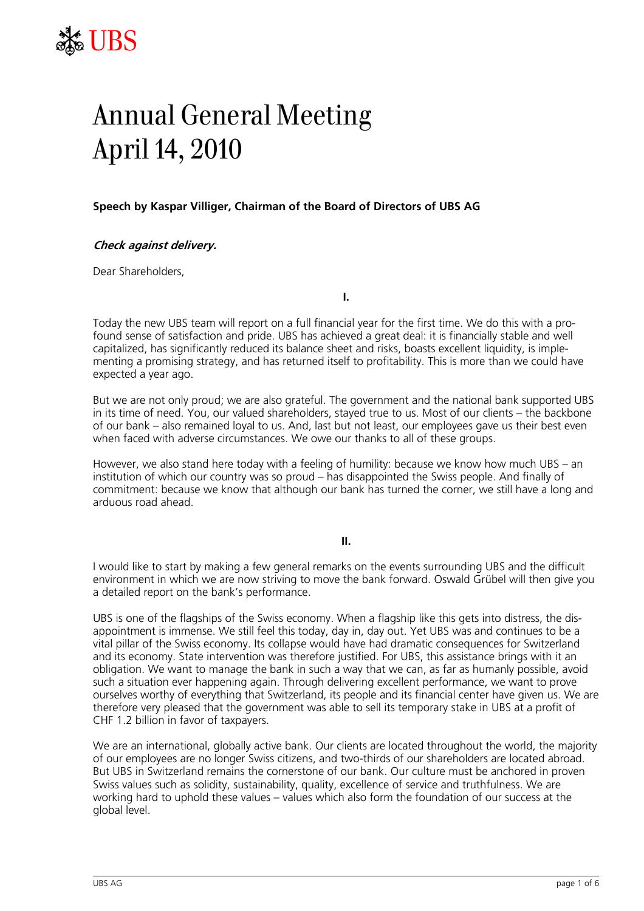

# Annual General Meeting April 14, 2010

## **Speech by Kaspar Villiger, Chairman of the Board of Directors of UBS AG**

### **Check against delivery.**

Dear Shareholders,

**I.** 

Today the new UBS team will report on a full financial year for the first time. We do this with a profound sense of satisfaction and pride. UBS has achieved a great deal: it is financially stable and well capitalized, has significantly reduced its balance sheet and risks, boasts excellent liquidity, is implementing a promising strategy, and has returned itself to profitability. This is more than we could have expected a year ago.

But we are not only proud; we are also grateful. The government and the national bank supported UBS in its time of need. You, our valued shareholders, stayed true to us. Most of our clients – the backbone of our bank – also remained loyal to us. And, last but not least, our employees gave us their best even when faced with adverse circumstances. We owe our thanks to all of these groups.

However, we also stand here today with a feeling of humility: because we know how much UBS – an institution of which our country was so proud – has disappointed the Swiss people. And finally of commitment: because we know that although our bank has turned the corner, we still have a long and arduous road ahead.

**II.**

I would like to start by making a few general remarks on the events surrounding UBS and the difficult environment in which we are now striving to move the bank forward. Oswald Grübel will then give you a detailed report on the bank's performance.

UBS is one of the flagships of the Swiss economy. When a flagship like this gets into distress, the disappointment is immense. We still feel this today, day in, day out. Yet UBS was and continues to be a vital pillar of the Swiss economy. Its collapse would have had dramatic consequences for Switzerland and its economy. State intervention was therefore justified. For UBS, this assistance brings with it an obligation. We want to manage the bank in such a way that we can, as far as humanly possible, avoid such a situation ever happening again. Through delivering excellent performance, we want to prove ourselves worthy of everything that Switzerland, its people and its financial center have given us. We are therefore very pleased that the government was able to sell its temporary stake in UBS at a profit of CHF 1.2 billion in favor of taxpayers.

We are an international, globally active bank. Our clients are located throughout the world, the majority of our employees are no longer Swiss citizens, and two-thirds of our shareholders are located abroad. But UBS in Switzerland remains the cornerstone of our bank. Our culture must be anchored in proven Swiss values such as solidity, sustainability, quality, excellence of service and truthfulness. We are working hard to uphold these values – values which also form the foundation of our success at the global level.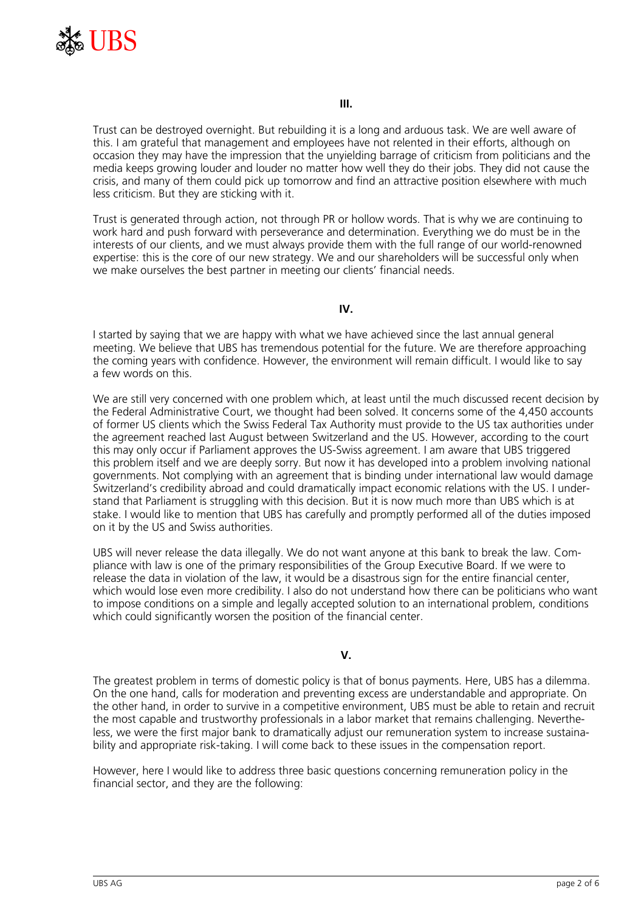

Trust can be destroyed overnight. But rebuilding it is a long and arduous task. We are well aware of this. I am grateful that management and employees have not relented in their efforts, although on occasion they may have the impression that the unyielding barrage of criticism from politicians and the media keeps growing louder and louder no matter how well they do their jobs. They did not cause the crisis, and many of them could pick up tomorrow and find an attractive position elsewhere with much less criticism. But they are sticking with it.

Trust is generated through action, not through PR or hollow words. That is why we are continuing to work hard and push forward with perseverance and determination. Everything we do must be in the interests of our clients, and we must always provide them with the full range of our world-renowned expertise: this is the core of our new strategy. We and our shareholders will be successful only when we make ourselves the best partner in meeting our clients' financial needs.

### **IV.**

I started by saying that we are happy with what we have achieved since the last annual general meeting. We believe that UBS has tremendous potential for the future. We are therefore approaching the coming years with confidence. However, the environment will remain difficult. I would like to say a few words on this.

We are still very concerned with one problem which, at least until the much discussed recent decision by the Federal Administrative Court, we thought had been solved. It concerns some of the 4,450 accounts of former US clients which the Swiss Federal Tax Authority must provide to the US tax authorities under the agreement reached last August between Switzerland and the US. However, according to the court this may only occur if Parliament approves the US-Swiss agreement. I am aware that UBS triggered this problem itself and we are deeply sorry. But now it has developed into a problem involving national governments. Not complying with an agreement that is binding under international law would damage Switzerland's credibility abroad and could dramatically impact economic relations with the US. I understand that Parliament is struggling with this decision. But it is now much more than UBS which is at stake. I would like to mention that UBS has carefully and promptly performed all of the duties imposed on it by the US and Swiss authorities.

UBS will never release the data illegally. We do not want anyone at this bank to break the law. Compliance with law is one of the primary responsibilities of the Group Executive Board. If we were to release the data in violation of the law, it would be a disastrous sign for the entire financial center, which would lose even more credibility. I also do not understand how there can be politicians who want to impose conditions on a simple and legally accepted solution to an international problem, conditions which could significantly worsen the position of the financial center.

# **V.**

The greatest problem in terms of domestic policy is that of bonus payments. Here, UBS has a dilemma. On the one hand, calls for moderation and preventing excess are understandable and appropriate. On the other hand, in order to survive in a competitive environment, UBS must be able to retain and recruit the most capable and trustworthy professionals in a labor market that remains challenging. Nevertheless, we were the first major bank to dramatically adjust our remuneration system to increase sustainability and appropriate risk-taking. I will come back to these issues in the compensation report.

However, here I would like to address three basic questions concerning remuneration policy in the financial sector, and they are the following: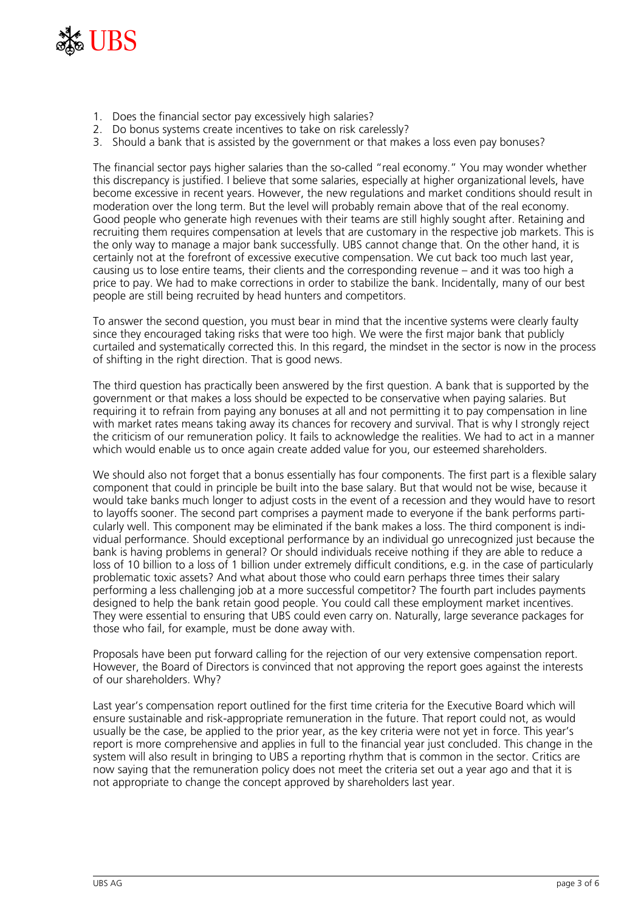

- 1. Does the financial sector pay excessively high salaries?
- 2. Do bonus systems create incentives to take on risk carelessly?
- 3. Should a bank that is assisted by the government or that makes a loss even pay bonuses?

The financial sector pays higher salaries than the so-called "real economy." You may wonder whether this discrepancy is justified. I believe that some salaries, especially at higher organizational levels, have become excessive in recent years. However, the new regulations and market conditions should result in moderation over the long term. But the level will probably remain above that of the real economy. Good people who generate high revenues with their teams are still highly sought after. Retaining and recruiting them requires compensation at levels that are customary in the respective job markets. This is the only way to manage a major bank successfully. UBS cannot change that. On the other hand, it is certainly not at the forefront of excessive executive compensation. We cut back too much last year, causing us to lose entire teams, their clients and the corresponding revenue – and it was too high a price to pay. We had to make corrections in order to stabilize the bank. Incidentally, many of our best people are still being recruited by head hunters and competitors.

To answer the second question, you must bear in mind that the incentive systems were clearly faulty since they encouraged taking risks that were too high. We were the first major bank that publicly curtailed and systematically corrected this. In this regard, the mindset in the sector is now in the process of shifting in the right direction. That is good news.

The third question has practically been answered by the first question. A bank that is supported by the government or that makes a loss should be expected to be conservative when paying salaries. But requiring it to refrain from paying any bonuses at all and not permitting it to pay compensation in line with market rates means taking away its chances for recovery and survival. That is why I strongly reject the criticism of our remuneration policy. It fails to acknowledge the realities. We had to act in a manner which would enable us to once again create added value for you, our esteemed shareholders.

We should also not forget that a bonus essentially has four components. The first part is a flexible salary component that could in principle be built into the base salary. But that would not be wise, because it would take banks much longer to adjust costs in the event of a recession and they would have to resort to layoffs sooner. The second part comprises a payment made to everyone if the bank performs particularly well. This component may be eliminated if the bank makes a loss. The third component is individual performance. Should exceptional performance by an individual go unrecognized just because the bank is having problems in general? Or should individuals receive nothing if they are able to reduce a loss of 10 billion to a loss of 1 billion under extremely difficult conditions, e.g. in the case of particularly problematic toxic assets? And what about those who could earn perhaps three times their salary performing a less challenging job at a more successful competitor? The fourth part includes payments designed to help the bank retain good people. You could call these employment market incentives. They were essential to ensuring that UBS could even carry on. Naturally, large severance packages for those who fail, for example, must be done away with.

Proposals have been put forward calling for the rejection of our very extensive compensation report. However, the Board of Directors is convinced that not approving the report goes against the interests of our shareholders. Why?

Last year's compensation report outlined for the first time criteria for the Executive Board which will ensure sustainable and risk-appropriate remuneration in the future. That report could not, as would usually be the case, be applied to the prior year, as the key criteria were not yet in force. This year's report is more comprehensive and applies in full to the financial year just concluded. This change in the system will also result in bringing to UBS a reporting rhythm that is common in the sector. Critics are now saying that the remuneration policy does not meet the criteria set out a year ago and that it is not appropriate to change the concept approved by shareholders last year.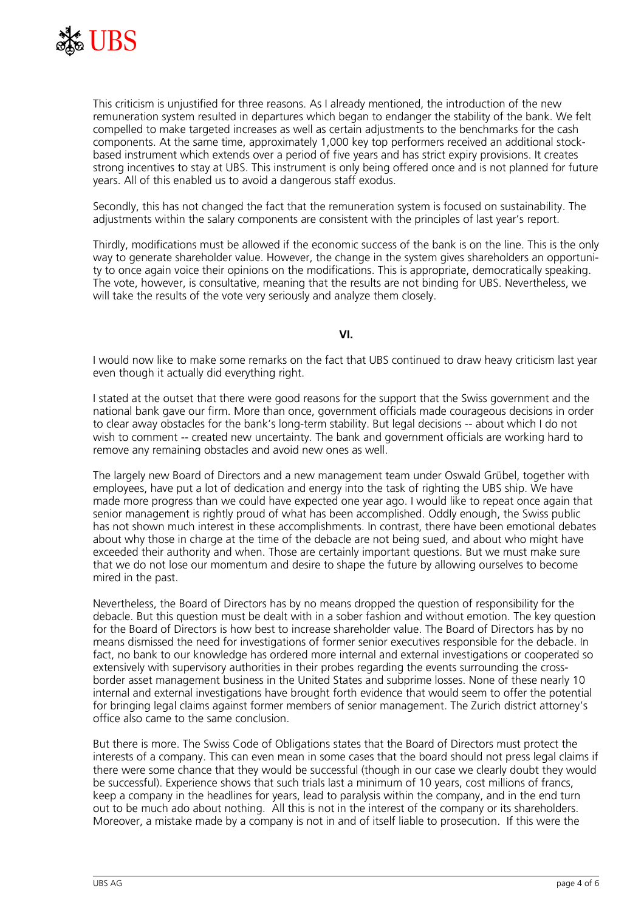

This criticism is unjustified for three reasons. As I already mentioned, the introduction of the new remuneration system resulted in departures which began to endanger the stability of the bank. We felt compelled to make targeted increases as well as certain adjustments to the benchmarks for the cash components. At the same time, approximately 1,000 key top performers received an additional stockbased instrument which extends over a period of five years and has strict expiry provisions. It creates strong incentives to stay at UBS. This instrument is only being offered once and is not planned for future years. All of this enabled us to avoid a dangerous staff exodus.

Secondly, this has not changed the fact that the remuneration system is focused on sustainability. The adjustments within the salary components are consistent with the principles of last year's report.

Thirdly, modifications must be allowed if the economic success of the bank is on the line. This is the only way to generate shareholder value. However, the change in the system gives shareholders an opportunity to once again voice their opinions on the modifications. This is appropriate, democratically speaking. The vote, however, is consultative, meaning that the results are not binding for UBS. Nevertheless, we will take the results of the vote very seriously and analyze them closely.

**VI.**

I would now like to make some remarks on the fact that UBS continued to draw heavy criticism last year even though it actually did everything right.

I stated at the outset that there were good reasons for the support that the Swiss government and the national bank gave our firm. More than once, government officials made courageous decisions in order to clear away obstacles for the bank's long-term stability. But legal decisions -- about which I do not wish to comment -- created new uncertainty. The bank and government officials are working hard to remove any remaining obstacles and avoid new ones as well.

The largely new Board of Directors and a new management team under Oswald Grübel, together with employees, have put a lot of dedication and energy into the task of righting the UBS ship. We have made more progress than we could have expected one year ago. I would like to repeat once again that senior management is rightly proud of what has been accomplished. Oddly enough, the Swiss public has not shown much interest in these accomplishments. In contrast, there have been emotional debates about why those in charge at the time of the debacle are not being sued, and about who might have exceeded their authority and when. Those are certainly important questions. But we must make sure that we do not lose our momentum and desire to shape the future by allowing ourselves to become mired in the past.

Nevertheless, the Board of Directors has by no means dropped the question of responsibility for the debacle. But this question must be dealt with in a sober fashion and without emotion. The key question for the Board of Directors is how best to increase shareholder value. The Board of Directors has by no means dismissed the need for investigations of former senior executives responsible for the debacle. In fact, no bank to our knowledge has ordered more internal and external investigations or cooperated so extensively with supervisory authorities in their probes regarding the events surrounding the crossborder asset management business in the United States and subprime losses. None of these nearly 10 internal and external investigations have brought forth evidence that would seem to offer the potential for bringing legal claims against former members of senior management. The Zurich district attorney's office also came to the same conclusion.

But there is more. The Swiss Code of Obligations states that the Board of Directors must protect the interests of a company. This can even mean in some cases that the board should not press legal claims if there were some chance that they would be successful (though in our case we clearly doubt they would be successful). Experience shows that such trials last a minimum of 10 years, cost millions of francs, keep a company in the headlines for years, lead to paralysis within the company, and in the end turn out to be much ado about nothing. All this is not in the interest of the company or its shareholders. Moreover, a mistake made by a company is not in and of itself liable to prosecution. If this were the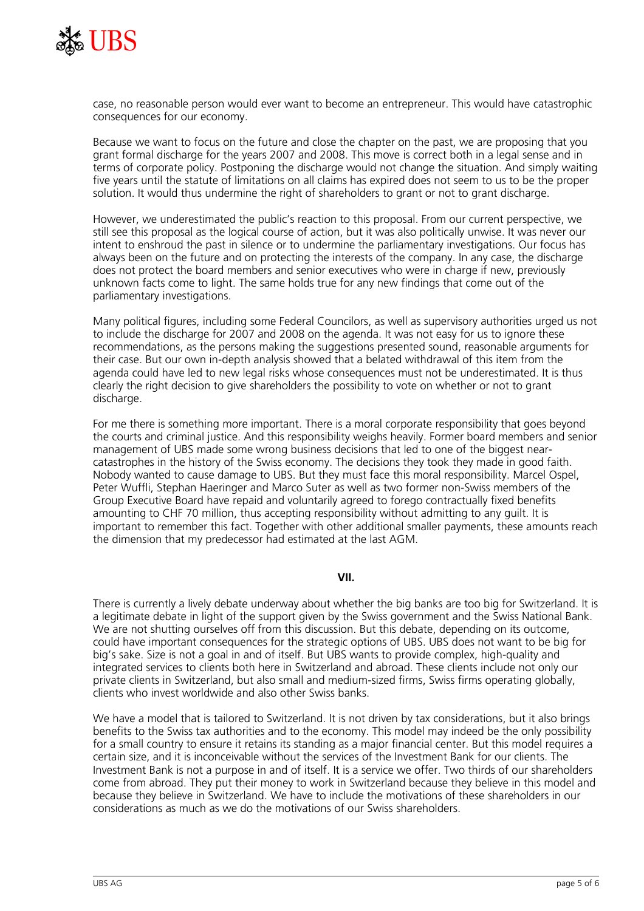

case, no reasonable person would ever want to become an entrepreneur. This would have catastrophic consequences for our economy.

Because we want to focus on the future and close the chapter on the past, we are proposing that you grant formal discharge for the years 2007 and 2008. This move is correct both in a legal sense and in terms of corporate policy. Postponing the discharge would not change the situation. And simply waiting five years until the statute of limitations on all claims has expired does not seem to us to be the proper solution. It would thus undermine the right of shareholders to grant or not to grant discharge.

However, we underestimated the public's reaction to this proposal. From our current perspective, we still see this proposal as the logical course of action, but it was also politically unwise. It was never our intent to enshroud the past in silence or to undermine the parliamentary investigations. Our focus has always been on the future and on protecting the interests of the company. In any case, the discharge does not protect the board members and senior executives who were in charge if new, previously unknown facts come to light. The same holds true for any new findings that come out of the parliamentary investigations.

Many political figures, including some Federal Councilors, as well as supervisory authorities urged us not to include the discharge for 2007 and 2008 on the agenda. It was not easy for us to ignore these recommendations, as the persons making the suggestions presented sound, reasonable arguments for their case. But our own in-depth analysis showed that a belated withdrawal of this item from the agenda could have led to new legal risks whose consequences must not be underestimated. It is thus clearly the right decision to give shareholders the possibility to vote on whether or not to grant discharge.

For me there is something more important. There is a moral corporate responsibility that goes beyond the courts and criminal justice. And this responsibility weighs heavily. Former board members and senior management of UBS made some wrong business decisions that led to one of the biggest nearcatastrophes in the history of the Swiss economy. The decisions they took they made in good faith. Nobody wanted to cause damage to UBS. But they must face this moral responsibility. Marcel Ospel, Peter Wuffli, Stephan Haeringer and Marco Suter as well as two former non-Swiss members of the Group Executive Board have repaid and voluntarily agreed to forego contractually fixed benefits amounting to CHF 70 million, thus accepting responsibility without admitting to any guilt. It is important to remember this fact. Together with other additional smaller payments, these amounts reach the dimension that my predecessor had estimated at the last AGM.

#### **VII.**

There is currently a lively debate underway about whether the big banks are too big for Switzerland. It is a legitimate debate in light of the support given by the Swiss government and the Swiss National Bank. We are not shutting ourselves off from this discussion. But this debate, depending on its outcome, could have important consequences for the strategic options of UBS. UBS does not want to be big for big's sake. Size is not a goal in and of itself. But UBS wants to provide complex, high-quality and integrated services to clients both here in Switzerland and abroad. These clients include not only our private clients in Switzerland, but also small and medium-sized firms, Swiss firms operating globally, clients who invest worldwide and also other Swiss banks.

We have a model that is tailored to Switzerland. It is not driven by tax considerations, but it also brings benefits to the Swiss tax authorities and to the economy. This model may indeed be the only possibility for a small country to ensure it retains its standing as a major financial center. But this model requires a certain size, and it is inconceivable without the services of the Investment Bank for our clients. The Investment Bank is not a purpose in and of itself. It is a service we offer. Two thirds of our shareholders come from abroad. They put their money to work in Switzerland because they believe in this model and because they believe in Switzerland. We have to include the motivations of these shareholders in our considerations as much as we do the motivations of our Swiss shareholders.